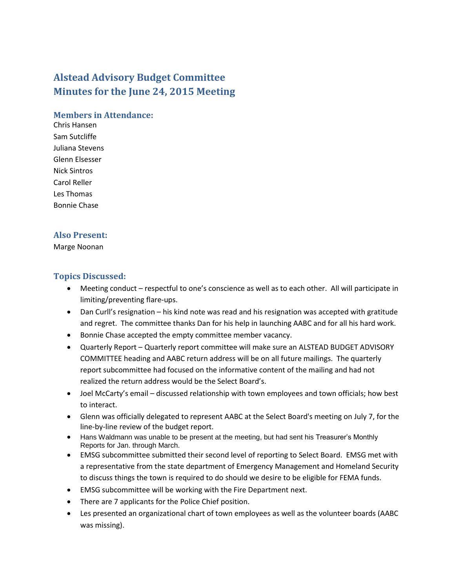# **Alstead Advisory Budget Committee Minutes for the June 24, 2015 Meeting**

#### **Members in Attendance:**

Chris Hansen Sam Sutcliffe Juliana Stevens Glenn Elsesser Nick Sintros Carol Reller Les Thomas Bonnie Chase

#### **Also Present:**

#### Marge Noonan

#### **Topics Discussed:**

- Meeting conduct respectful to one's conscience as well as to each other. All will participate in limiting/preventing flare-ups.
- Dan Curll's resignation his kind note was read and his resignation was accepted with gratitude and regret. The committee thanks Dan for his help in launching AABC and for all his hard work.
- Bonnie Chase accepted the empty committee member vacancy.
- Quarterly Report Quarterly report committee will make sure an ALSTEAD BUDGET ADVISORY COMMITTEE heading and AABC return address will be on all future mailings. The quarterly report subcommittee had focused on the informative content of the mailing and had not realized the return address would be the Select Board's.
- Joel McCarty's email discussed relationship with town employees and town officials; how best to interact.
- Glenn was officially delegated to represent AABC at the Select Board's meeting on July 7, for the line-by-line review of the budget report.
- Hans Waldmann was unable to be present at the meeting, but had sent his Treasurer's Monthly Reports for Jan. through March.
- EMSG subcommittee submitted their second level of reporting to Select Board. EMSG met with a representative from the state department of Emergency Management and Homeland Security to discuss things the town is required to do should we desire to be eligible for FEMA funds.
- EMSG subcommittee will be working with the Fire Department next.
- There are 7 applicants for the Police Chief position.
- Les presented an organizational chart of town employees as well as the volunteer boards (AABC was missing).